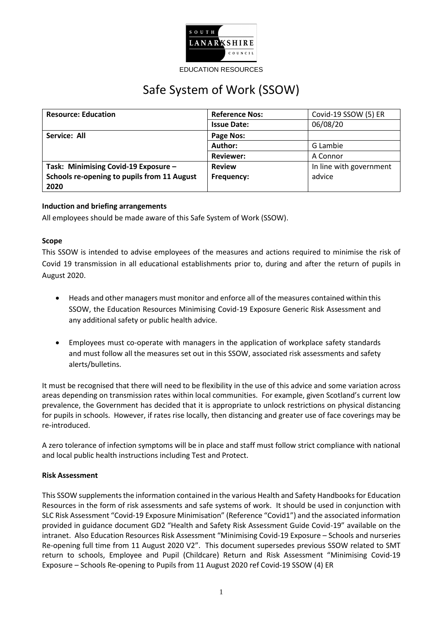

#### EDUCATION RESOURCES

# Safe System of Work (SSOW)

| <b>Resource: Education</b>                  | <b>Reference Nos:</b> | Covid-19 SSOW (5) ER    |
|---------------------------------------------|-----------------------|-------------------------|
|                                             | <b>Issue Date:</b>    | 06/08/20                |
| Service: All                                | Page Nos:             |                         |
|                                             | Author:               | G Lambie                |
|                                             | <b>Reviewer:</b>      | A Connor                |
| Task: Minimising Covid-19 Exposure -        | <b>Review</b>         | In line with government |
| Schools re-opening to pupils from 11 August | Frequency:            | advice                  |
| 2020                                        |                       |                         |

# **Induction and briefing arrangements**

All employees should be made aware of this Safe System of Work (SSOW).

## **Scope**

This SSOW is intended to advise employees of the measures and actions required to minimise the risk of Covid 19 transmission in all educational establishments prior to, during and after the return of pupils in August 2020.

- Heads and other managers must monitor and enforce all of the measures contained within this SSOW, the Education Resources Minimising Covid-19 Exposure Generic Risk Assessment and any additional safety or public health advice.
- Employees must co-operate with managers in the application of workplace safety standards and must follow all the measures set out in this SSOW, associated risk assessments and safety alerts/bulletins.

It must be recognised that there will need to be flexibility in the use of this advice and some variation across areas depending on transmission rates within local communities. For example, given Scotland's current low prevalence, the Government has decided that it is appropriate to unlock restrictions on physical distancing for pupils in schools. However, if rates rise locally, then distancing and greater use of face coverings may be re-introduced.

A zero tolerance of infection symptoms will be in place and staff must follow strict compliance with national and local public health instructions including Test and Protect.

## **Risk Assessment**

This SSOW supplements the information contained in the various Health and Safety Handbooksfor Education Resources in the form of risk assessments and safe systems of work. It should be used in conjunction with SLC Risk Assessment "Covid-19 Exposure Minimisation" (Reference "Covid1") and the associated information provided in guidance document GD2 "Health and Safety Risk Assessment Guide Covid-19" available on the intranet. Also Education Resources Risk Assessment "Minimising Covid-19 Exposure – Schools and nurseries Re-opening full time from 11 August 2020 V2". This document supersedes previous SSOW related to SMT return to schools, Employee and Pupil (Childcare) Return and Risk Assessment "Minimising Covid-19 Exposure – Schools Re-opening to Pupils from 11 August 2020 ref Covid-19 SSOW (4) ER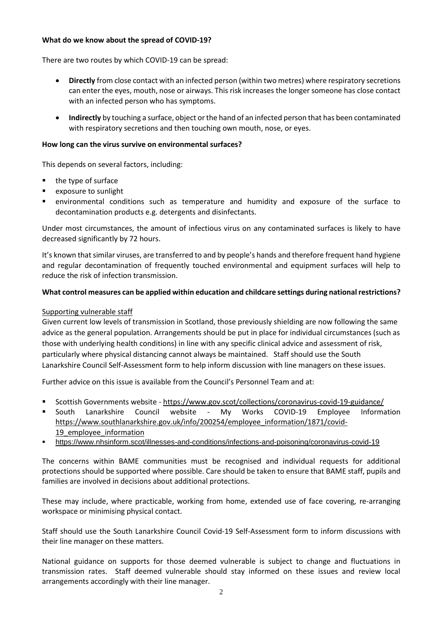## **What do we know about the spread of COVID-19?**

There are two routes by which COVID-19 can be spread:

- **Directly** from close contact with an infected person (within two metres) where respiratory secretions can enter the eyes, mouth, nose or airways. This risk increases the longer someone has close contact with an infected person who has symptoms.
- **Indirectly** by touching a surface, object or the hand of an infected person that has been contaminated with respiratory secretions and then touching own mouth, nose, or eyes.

## **How long can the virus survive on environmental surfaces?**

This depends on several factors, including:

- $\blacksquare$  the type of surface
- **exposure to sunlight**
- environmental conditions such as temperature and humidity and exposure of the surface to decontamination products e.g. detergents and disinfectants.

Under most circumstances, the amount of infectious virus on any contaminated surfaces is likely to have decreased significantly by 72 hours.

It's known that similar viruses, are transferred to and by people's hands and therefore frequent hand hygiene and regular decontamination of frequently touched environmental and equipment surfaces will help to reduce the risk of infection transmission.

## **What control measures can be applied within education and childcare settings during national restrictions?**

## Supporting vulnerable staff

Given current low levels of transmission in Scotland, those previously shielding are now following the same advice as the general population. Arrangements should be put in place for individual circumstances (such as those with underlying health conditions) in line with any specific clinical advice and assessment of risk, particularly where physical distancing cannot always be maintained. Staff should use the South Lanarkshire Council Self-Assessment form to help inform discussion with line managers on these issues.

Further advice on this issue is available from the Council's Personnel Team and at:

- Scottish Governments website https://www.gov.scot/collections/coronavirus-covid-19-guidance/
- South Lanarkshire Council website My Works COVID-19 Employee Information [https://www.southlanarkshire.gov.uk/info/200254/employee\\_information/1871/covid-](https://www.southlanarkshire.gov.uk/info/200254/employee_information/1871/covid-19_employee_information)19 employee information
- <https://www.nhsinform.scot/illnesses-and-conditions/infections-and-poisoning/coronavirus-covid-19>

The concerns within BAME communities must be recognised and individual requests for additional protections should be supported where possible. Care should be taken to ensure that BAME staff, pupils and families are involved in decisions about additional protections.

These may include, where practicable, working from home, extended use of face covering, re-arranging workspace or minimising physical contact.

Staff should use the South Lanarkshire Council Covid-19 Self-Assessment form to inform discussions with their line manager on these matters.

National guidance on supports for those deemed vulnerable is subject to change and fluctuations in transmission rates. Staff deemed vulnerable should stay informed on these issues and review local arrangements accordingly with their line manager.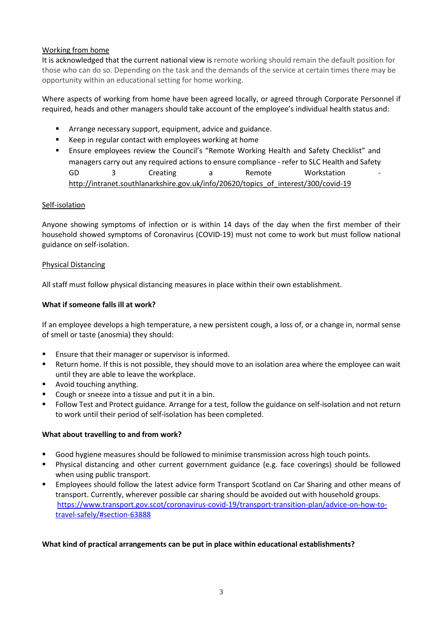# Working from home

It is acknowledged that the current national view is remote working should remain the default position for those who can do so. Depending on the task and the demands of the service at certain times there may be opportunity within an educational setting for home working.

Where aspects of working from home have been agreed locally, or agreed through Corporate Personnel if required, heads and other managers should take account of the employee's individual health status and:

- Arrange necessary support, equipment, advice and guidance.
- Keep in regular contact with employees working at home
- Ensure employees review the Council's "Remote Working Health and Safety Checklist" and managers carry out any required actions to ensure compliance - refer to SLC Health and Safety GD 3 Creating a Remote Workstation [http://intranet.southlanarkshire.gov.uk/info/20620/topics\\_of\\_interest/300/covid-19](http://intranet.southlanarkshire.gov.uk/info/20620/topics_of_interest/300/covid-19)

## Self-isolation

Anyone showing symptoms of infection or is within 14 days of the day when the first member of their household showed symptoms of Coronavirus (COVID-19) must not come to work but must follow national guidance on self-isolation.

## Physical Distancing

All staff must follow physical distancing measures in place within their own establishment.

## **What if someone falls ill at work?**

If an employee develops a high temperature, a new persistent cough, a loss of, or a change in, normal sense of smell or taste (anosmia) they should:

- Ensure that their manager or supervisor is informed.
- Return home. If this is not possible, they should move to an isolation area where the employee can wait until they are able to leave the workplace.
- **Avoid touching anything.**
- Cough or sneeze into a tissue and put it in a bin.
- Follow Test and Protect guidance. Arrange for a test, follow the guidance on self-isolation and not return to work until their period of self-isolation has been completed.

## **What about travelling to and from work?**

- Good hygiene measures should be followed to minimise transmission across high touch points.
- Physical distancing and other current government guidance (e.g. face coverings) should be followed when using public transport.
- Employees should follow the latest advice form Transport Scotland on Car Sharing and other means of transport. Currently, wherever possible car sharing should be avoided out with household groups. [https://www.transport.gov.scot/coronavirus-covid-19/transport-transition-plan/advice-on-how-to](https://www.transport.gov.scot/coronavirus-covid-19/transport-transition-plan/advice-on-how-to-travel-safely/#section-63888)[travel-safely/#section-63888](https://www.transport.gov.scot/coronavirus-covid-19/transport-transition-plan/advice-on-how-to-travel-safely/#section-63888)

## **What kind of practical arrangements can be put in place within educational establishments?**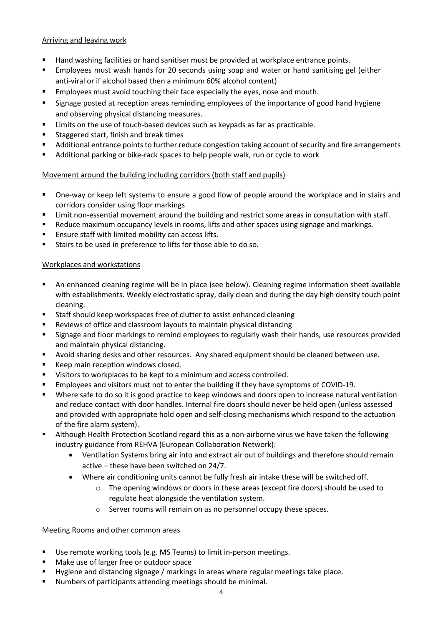# Arriving and leaving work

- **Hand washing facilities or hand sanitiser must be provided at workplace entrance points.**
- Employees must wash hands for 20 seconds using soap and water or hand sanitising gel (either anti-viral or if alcohol based then a minimum 60% alcohol content)
- Employees must avoid touching their face especially the eyes, nose and mouth.
- Signage posted at reception areas reminding employees of the importance of good hand hygiene and observing physical distancing measures.
- **EXECT** Limits on the use of touch-based devices such as keypads as far as practicable.
- **Staggered start, finish and break times**
- Additional entrance points to further reduce congestion taking account of security and fire arrangements
- **Additional parking or bike-rack spaces to help people walk, run or cycle to work**

# Movement around the building including corridors (both staff and pupils)

- One-way or keep left systems to ensure a good flow of people around the workplace and in stairs and corridors consider using floor markings
- **EXECT 1** Limit non-essential movement around the building and restrict some areas in consultation with staff.
- Reduce maximum occupancy levels in rooms, lifts and other spaces using signage and markings.
- **Ensure staff with limited mobility can access lifts.**
- Stairs to be used in preference to lifts for those able to do so.

## Workplaces and workstations

- An enhanced cleaning regime will be in place (see below). Cleaning regime information sheet available with establishments. Weekly electrostatic spray, daily clean and during the day high density touch point cleaning.
- Staff should keep workspaces free of clutter to assist enhanced cleaning
- Reviews of office and classroom layouts to maintain physical distancing
- **Signage and floor markings to remind employees to regularly wash their hands, use resources provided** and maintain physical distancing.
- **Avoid sharing desks and other resources. Any shared equipment should be cleaned between use.**
- Keep main reception windows closed.
- **Visitors to workplaces to be kept to a minimum and access controlled.**
- Employees and visitors must not to enter the building if they have symptoms of COVID-19.
- Where safe to do so it is good practice to keep windows and doors open to increase natural ventilation and reduce contact with door handles. Internal fire doors should never be held open (unless assessed and provided with appropriate hold open and self-closing mechanisms which respond to the actuation of the fire alarm system).
- Although Health Protection Scotland regard this as a non-airborne virus we have taken the following industry guidance from REHVA (European Collaboration Network):
	- Ventilation Systems bring air into and extract air out of buildings and therefore should remain active – these have been switched on 24/7.
	- Where air conditioning units cannot be fully fresh air intake these will be switched off.
		- o The opening windows or doors in these areas (except fire doors) should be used to regulate heat alongside the ventilation system.
		- o Server rooms will remain on as no personnel occupy these spaces.

# Meeting Rooms and other common areas

- Use remote working tools (e.g. MS Teams) to limit in-person meetings.
- **Make use of larger free or outdoor space**
- **Hygiene and distancing signage / markings in areas where regular meetings take place.**
- Numbers of participants attending meetings should be minimal.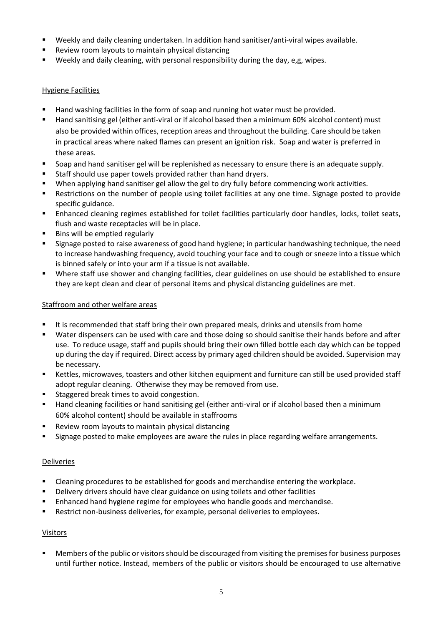- Weekly and daily cleaning undertaken. In addition hand sanitiser/anti-viral wipes available.
- **Review room layouts to maintain physical distancing**
- Weekly and daily cleaning, with personal responsibility during the day, e,g, wipes.

# Hygiene Facilities

- Hand washing facilities in the form of soap and running hot water must be provided.
- Hand sanitising gel (either anti-viral or if alcohol based then a minimum 60% alcohol content) must also be provided within offices, reception areas and throughout the building. Care should be taken in practical areas where naked flames can present an ignition risk. Soap and water is preferred in these areas.
- Soap and hand sanitiser gel will be replenished as necessary to ensure there is an adequate supply.
- **Staff should use paper towels provided rather than hand dryers.**
- When applying hand sanitiser gel allow the gel to dry fully before commencing work activities.
- Restrictions on the number of people using toilet facilities at any one time. Signage posted to provide specific guidance.
- Enhanced cleaning regimes established for toilet facilities particularly door handles, locks, toilet seats, flush and waste receptacles will be in place.
- Bins will be emptied regularly
- Signage posted to raise awareness of good hand hygiene; in particular handwashing technique, the need to increase handwashing frequency, avoid touching your face and to cough or sneeze into a tissue which is binned safely or into your arm if a tissue is not available.
- Where staff use shower and changing facilities, clear guidelines on use should be established to ensure they are kept clean and clear of personal items and physical distancing guidelines are met.

# Staffroom and other welfare areas

- It is recommended that staff bring their own prepared meals, drinks and utensils from home
- Water dispensers can be used with care and those doing so should sanitise their hands before and after use. To reduce usage, staff and pupils should bring their own filled bottle each day which can be topped up during the day if required. Direct access by primary aged children should be avoided. Supervision may be necessary.
- Kettles, microwaves, toasters and other kitchen equipment and furniture can still be used provided staff adopt regular cleaning. Otherwise they may be removed from use.
- Staggered break times to avoid congestion.
- Hand cleaning facilities or hand sanitising gel (either anti-viral or if alcohol based then a minimum 60% alcohol content) should be available in staffrooms
- Review room layouts to maintain physical distancing
- Signage posted to make employees are aware the rules in place regarding welfare arrangements.

# **Deliveries**

- **EXEC** Cleaning procedures to be established for goods and merchandise entering the workplace.
- **•** Delivery drivers should have clear guidance on using toilets and other facilities
- Enhanced hand hygiene regime for employees who handle goods and merchandise.
- **Restrict non-business deliveries, for example, personal deliveries to employees.**

# Visitors

**Members of the public or visitors should be discouraged from visiting the premises for business purposes** until further notice. Instead, members of the public or visitors should be encouraged to use alternative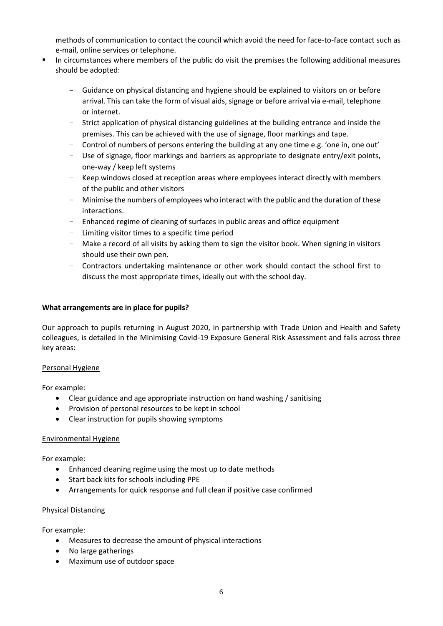methods of communication to contact the council which avoid the need for face-to-face contact such as e-mail, online services or telephone.

- In circumstances where members of the public do visit the premises the following additional measures should be adopted:
	- Guidance on physical distancing and hygiene should be explained to visitors on or before arrival. This can take the form of visual aids, signage or before arrival via e-mail, telephone or internet.
	- Strict application of physical distancing guidelines at the building entrance and inside the premises. This can be achieved with the use of signage, floor markings and tape.
	- Control of numbers of persons entering the building at any one time e.g. 'one in, one out'
	- Use of signage, floor markings and barriers as appropriate to designate entry/exit points, one-way / keep left systems
	- Keep windows closed at reception areas where employees interact directly with members of the public and other visitors
	- Minimise the numbers of employees who interact with the public and the duration of these interactions.
	- Enhanced regime of cleaning of surfaces in public areas and office equipment
	- Limiting visitor times to a specific time period
	- Make a record of all visits by asking them to sign the visitor book. When signing in visitors should use their own pen.
	- Contractors undertaking maintenance or other work should contact the school first to discuss the most appropriate times, ideally out with the school day.

## **What arrangements are in place for pupils?**

Our approach to pupils returning in August 2020, in partnership with Trade Union and Health and Safety colleagues, is detailed in the Minimising Covid-19 Exposure General Risk Assessment and falls across three key areas:

## Personal Hygiene

For example:

- Clear guidance and age appropriate instruction on hand washing / sanitising
- Provision of personal resources to be kept in school
- Clear instruction for pupils showing symptoms

## Environmental Hygiene

For example:

- Enhanced cleaning regime using the most up to date methods
- Start back kits for schools including PPE
- Arrangements for quick response and full clean if positive case confirmed

## Physical Distancing

For example:

- Measures to decrease the amount of physical interactions
- No large gatherings
- Maximum use of outdoor space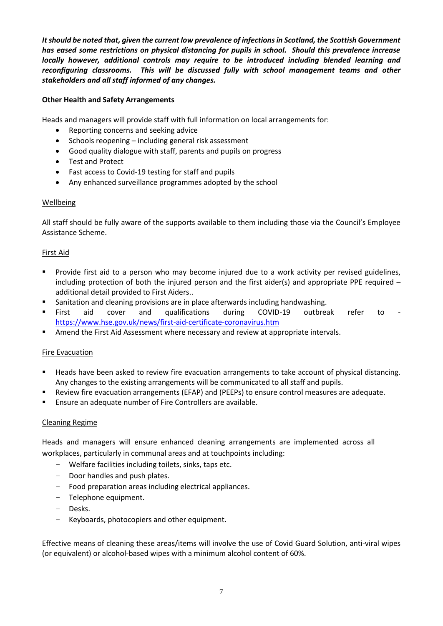*It should be noted that, given the current low prevalence of infections in Scotland, the Scottish Government has eased some restrictions on physical distancing for pupils in school. Should this prevalence increase locally however, additional controls may require to be introduced including blended learning and reconfiguring classrooms. This will be discussed fully with school management teams and other stakeholders and all staff informed of any changes.*

# **Other Health and Safety Arrangements**

Heads and managers will provide staff with full information on local arrangements for:

- Reporting concerns and seeking advice
- Schools reopening including general risk assessment
- Good quality dialogue with staff, parents and pupils on progress
- Test and Protect
- Fast access to Covid-19 testing for staff and pupils
- Any enhanced surveillance programmes adopted by the school

## Wellbeing

All staff should be fully aware of the supports available to them including those via the Council's Employee Assistance Scheme.

## First Aid

- **Provide first aid to a person who may become injured due to a work activity per revised guidelines,** including protection of both the injured person and the first aider(s) and appropriate PPE required  $$ additional detail provided to First Aiders..
- **Sanitation and cleaning provisions are in place afterwards including handwashing.**
- First aid cover and qualifications during COVID-19 outbreak refer to <https://www.hse.gov.uk/news/first-aid-certificate-coronavirus.htm>
- **Amend the First Aid Assessment where necessary and review at appropriate intervals.**

## **Fire Evacuation**

- Heads have been asked to review fire evacuation arrangements to take account of physical distancing. Any changes to the existing arrangements will be communicated to all staff and pupils.
- Review fire evacuation arrangements (EFAP) and (PEEPs) to ensure control measures are adequate.
- Ensure an adequate number of Fire Controllers are available.

## Cleaning Regime

Heads and managers will ensure enhanced cleaning arrangements are implemented across all workplaces, particularly in communal areas and at touchpoints including:

- Welfare facilities including toilets, sinks, taps etc.
- Door handles and push plates.
- Food preparation areas including electrical appliances.
- Telephone equipment.
- Desks.
- Keyboards, photocopiers and other equipment.

Effective means of cleaning these areas/items will involve the use of Covid Guard Solution, anti-viral wipes (or equivalent) or alcohol-based wipes with a minimum alcohol content of 60%.